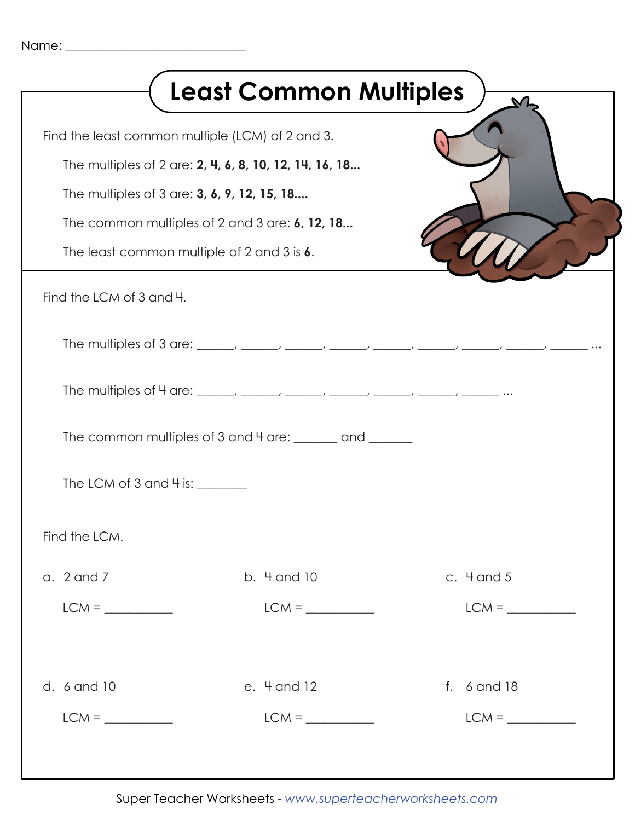| Find the least common multiple (LCM) of 2 and 3.<br>The multiples of 2 are: 2, 4, 6, 8, 10, 12, 14, 16, 18<br>The multiples of 3 are: 3, 6, 9, 12, 15, 18 |                                                                                                                                                                                                                                                                    |
|-----------------------------------------------------------------------------------------------------------------------------------------------------------|--------------------------------------------------------------------------------------------------------------------------------------------------------------------------------------------------------------------------------------------------------------------|
|                                                                                                                                                           |                                                                                                                                                                                                                                                                    |
|                                                                                                                                                           |                                                                                                                                                                                                                                                                    |
| The common multiples of 2 and 3 are: $6$ , 12, 18                                                                                                         |                                                                                                                                                                                                                                                                    |
|                                                                                                                                                           |                                                                                                                                                                                                                                                                    |
|                                                                                                                                                           |                                                                                                                                                                                                                                                                    |
|                                                                                                                                                           |                                                                                                                                                                                                                                                                    |
|                                                                                                                                                           |                                                                                                                                                                                                                                                                    |
|                                                                                                                                                           |                                                                                                                                                                                                                                                                    |
|                                                                                                                                                           |                                                                                                                                                                                                                                                                    |
|                                                                                                                                                           |                                                                                                                                                                                                                                                                    |
| b. 4 and 10                                                                                                                                               | c. $4$ and $5$                                                                                                                                                                                                                                                     |
| $LCM =$                                                                                                                                                   | $LCM =$                                                                                                                                                                                                                                                            |
| e. 4 and 12                                                                                                                                               | f. 6 and 18                                                                                                                                                                                                                                                        |
| $LCM = \underline{\qquad \qquad }$                                                                                                                        | $LCM = \_$                                                                                                                                                                                                                                                         |
|                                                                                                                                                           | The least common multiple of 2 and 3 is 6.<br>The multiples of 4 are: ______, _____, _____, _____, _____, _____, _____, _____,<br>The common multiples of 3 and 4 are: <u>______</u> and ______<br>The LCM of $3$ and $4$ is: $\_\_\_\_\_\_\_\_\_\_\_\_\_\_\_\_\_$ |